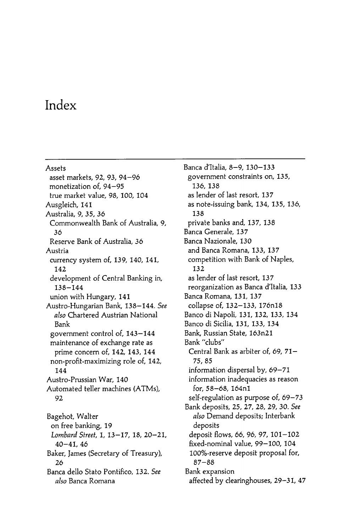## Index

Assets asset markets, 92, 93, 94-96 monetization of, 94-95 true market value, 98, 100, 104 Ausgleich, 141 Australia, 9, 35, 36 Commonwealth Bank of Australia, 9. 36 Reserve Bank of Australia, 36 Austria currency system of, 139, 140, 141, 142 development of Central Banking in,  $138 - 144$ union with Hungary, 141 Austro-Hungarian Bank, 138-144. See also Chartered Austrian National Bank government control of, 143-144 maintenance of exchange rate as prime concern of, 142, 143, 144 non-profit-maximizing role of, 142, 144 Austro-Prussian War, 140 Automated teller machines (ATMs), 92 Bagehot, Walter on free banking, 19 Lombard Street, 1, 13-17, 18, 20-21,  $40 - 41, 46$ Baker, James (Secretary of Treasury), 26 Banca dello Stato Pontifico, 132. See

also Banca Romana

Banca d'Italia, 8-9, 130-133 government constraints on, 135, 136, 138 as lender of last resort, 137 as note-issuing bank, 134, 135, 136, 138 private banks and, 137, 138 Banca Generale, 137 Banca Nazionale, 130 and Banca Romana, 133, 137 competition with Bank of Naples, 132 as lender of last resort, 137 reorganization as Banca d'Italia, 133 Banca Romana, 131, 137 collapse of, 132- 133, 176n18 Banco di Napoli, 131, 132, 133, 134 Banco di Sicilia, 131, 133, 134 Bank, Russian State, 163n21 Bank " clubs" Central Bank as arbiter of,  $69$ ,  $71 -$ 75 , 85 information dispersal by, 69-71 information inadequacies as reason for, 58-68, 164n1 self-regulation as purpose of, 69-73 Bank deposits, 25, 27, 28, 29, 30. See also Demand deposits; Interbank deposits deposit flows, 66, 96, 97, 101- 102 fixed-nominal value, 99-100, 104 100%-reserve deposit proposal for,  $87 - 88$ Bank expansion affected by clearinghouses, 29-31, 47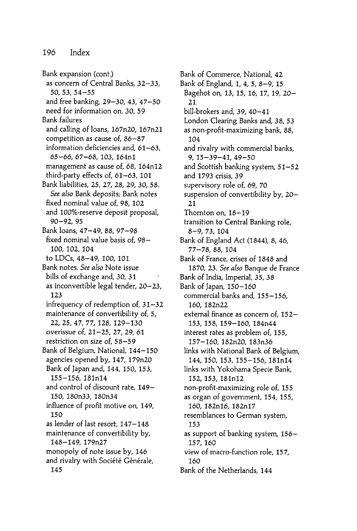Bank expansion (cont.) as concern of Central Banks, 32-33,  $50.53.54 - 55$ and free banking, 29-30, 43, 47-50 need for information on, 30, 59 Bank failures and calling of loans, 167n20, 167n21 competition as cause of,  $86 - 87$ information deficiencies and,  $61-63$ , 65-66, 67-68, 103, 164n1 management as cause of, 68, 164n12 third-party effects of,  $61-63$ ,  $101$ Bank liabilities, 25, 27, 28, 29, 30, 58. See also Bank deposits; Bank notes fixed nominal value of, 98, 102 and 100%-reserve deposit proposal, 90 - 92 , 95 Bank loans, 47–49, 88, 97–98 fixed nominal value basis of, 98-100 , 102 , 104 to LDCs, 48-49, 100, 101 Bank notes. See also Note issue bills of exchange and, 30, 31 as inconvertible legal tender, 20–23, 123 infrequency of redemption of, 31-32 maintenance of convertibility of, 5, 22, 25, 47, 77, 128, 129-130 overissue of, 21-25, 27, 29, 61 restriction on size of, 58-59 Bank of Belgium, National, 144- 150 agencies opened by, 147, 179n20 Bank of Japan and, 144, 150, 153, 155 - 156 , 181n14 and control of discount rate, 149-150, 180n33, 180n34 influence of profit motive on, 149, 150 as lender of last resort, 147-148 maintenance of convertibility by, 148-149, 179n27 monopoly of note issue by, 146 and rivalry with Société Générale, 145

Bank of Commerce, National, 42 Bank of England, 1, 4, 5, 8-9, 15 Bagehot on, 13, 15, 16, 17, 19, 20- 21 bill-brokers and, 39, 40-41 London Clearing Banks and, 38, 53 as non-profit-maximizing bank, 88, 104 and rivalry with commercial banks,  $9.15 - 39 - 41.49 - 50$ and Scottish banking system, 51-52 and 1793 crisis, 39 supervisory role of, 69, 70 suspension of convertibility by, 20- 21 Thornton on, 18–19 transition to Central Banking role, 8-9, 73, 104 Bank of England Act (1844), 8, 46, 77 - 78 , 88 , 104 Bank of France, crises of 1848 and 1870, 23. See also Banque de France Bank of India, Imperial, 35, 38 Bank of Japan, 150- 160 commercial banks and, 155-156, 160, 182n22 external finance as concern of, 152-153 , 158 , 159 - 160 , 184n44 interest rates as problem of, 155, 157 - 160 , 182n20 , 183n36 links with National Bank of Belgium, 144, 150, 153, 155–156, 181n14 links with Yokohama Specie Bank, 152, 153, 181n12 non-profit-maximizing role of, 155 as organ of government, 154, 155, 160, 182n16, 182n17 resemblances to German system, 153 as support of banking system, 156- 157 , 160 view of macro-function role, 157, 160 Bank of the Netherlands, 144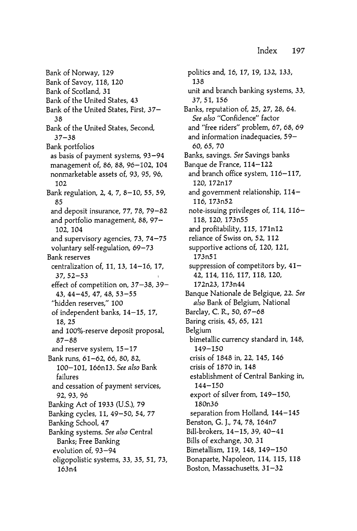Bank of Scotland, 31 Bank of the United States, 43 Bank of the United States, First, 37-38 Bank of the United States, Second,  $37 - 38$ Bank portfolios as basis of payment systems, 93-94 management of, 86, 88, 96-102, 104 nonmarketable assets of, 93, 95, 96, 102 Bank regulation, 2, 4, 7, 8- 10, 55, 59, 85 and deposit insurance, 77, 78, 79-82 and portfolio management, 88, 97- 102, 104 and supervisory agencies, 73, 74- 75 voluntary self-regulation, 69-73 Bank reserves centralization of, 11, 13, 14-16, 17,  $37,52 - 53$ effect of competition on, 37–38, 39– 43 , 44 - 45 , 47 , 48 , 53 - 55 " hidden reserves ," 100 of independent banks, 14-15, 17, 18, 25 and 100%-reserve deposit proposal,  $87 - 88$ and reserve system,  $15-17$ Bank runs, 61-62, 66, 80, 82, 100-101, 166n13. See also Bank failures and cessation of payment services, 92, 93, 96 Banking Act of 1933 (U.S.), 79 Banking cycles, 11, 49-50, 54, 77 Banking School, 47 Banking systems. See also Central Banks; Free Banking evolution of, 93-94 oligopolistic systems, 33, 35, 51, 73, 163n4 Bank of Norway, 129 Bank of Savoy, 118, 120

politics and, 16, 17, 19, 132, 133, 138 unit and branch banking systems, 33, 37 , 51, 156 Banks, reputation of, 25, 27, 28, 64. See also "Confidence" factor and "free riders" problem, 67, 68, 69 and information inadequacies, 59- 60, 65, 70 Banks, savings. See Savings banks Banque de France, 114-122 and branch office system, 116-117, 120, 172n17 and government relationship, 114- 116, 173n52 note-issuing privileges of, 114, 116- 118, 120, 173n55 and profitability, 115, 171n12 reliance of Swiss on, 52, 112 supportive actions of, 120, 121, 173n51 suppression of competitors by, 41- 42, 114, 116, 117, 118, 120, 172n23 , 173n44 Banque Nationale de Belgique, 22. See also Bank of Belgium, National Barclay, C. R., 50, 67–68 Baring crisis, 45, 65, 121 Belgium bimetallic currency standard in, 148, 149 - 150 crisis of 1848 in, 22, 145, 146 crisis of 1870 in, 148 establishment of Central Banking in, 144 - 150 export of silver from, 149–150, 180n36 separation from Holland, 144-145 Benston, G. J., 74, 78, 164n7 Bill-brokers, 14–15, 39, 40–41 Bills of exchange, 30, 31 Bimetallism, 119, 148, 149–150 Bonaparte, Napoleon, 114, 115, 118 Boston, Massachusetts, 31-32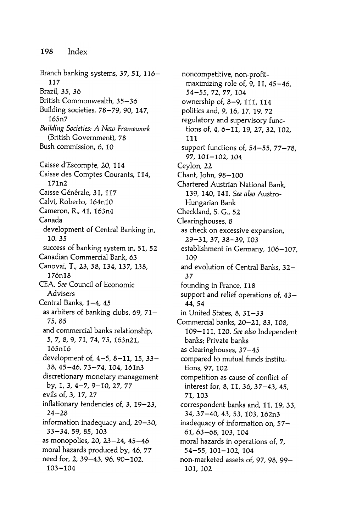Branch banking systems, 37, 51, 116- 117 Brazil, 35, 36 British Commonwealth, 35-36 Building societies, 78- 79, 90, 147, 165n7 Building Societies: A New Framework (British Government), 78 Bush commission, 6, 10 Caisse d'Escompte, 20, 114 Caisse des Comptes Courants, 114, 171n2 Caisse Générale, 31, 117 Calvi, Roberto, 164n10 Cameron, R., 41, 163n4 Canada development of Central Banking in, 10, 35 success of banking system in, 51, 52 Canadian Commercial Bank, 63 Canovai, T., 23, 58, 134, 137, 138, 176n18 CEA. See Council of Economic Advisers Central Banks,  $1-4$ ,  $45$ as arbiters of banking clubs, 69, 71- 75 , 85 and commercial banks relationship, 5, 7, 8, 9, 71, 74 , 75 , 163n21 , 165n16 development of, 4-5, 8-11, 15, 33-38, 45-46, 73-74, 104, 161n3 discretionary monetary management by, 1, 3, 4- 7, 9- 10, 27, 77 evils of, 3, 17, 27 inflationary tendencies of, 3, 19-23,  $24 - 28$ information inadequacy and, 29- 30, 33 - 34 , 59 , 85 , 103 as monopolies, 20, 23-24, 45-46 moral hazards produced by, 46, 77 need for, 2, 39-43, 96, 90-102, 103 - 104

noncompetitive, non-profitmaximizing role of, 9, 11,  $45 - 46$ , 54 - 55 , 72 , 77 , 104 ownership of, 8-9, 111, 114 politics and, 9, 16, 17, 19, 72 regulatory and supervisory functions of, 4, 6-11, 19, 27, 32, 102, 111 support functions of,  $54 - 55$ ,  $77 - 78$ , 97, 101-102, 104 Ceylon, 22 Chant, John, 98–100 Chartered Austrian National Bank, 139, 140, 141. See also Austro-Hungarian Bank Checkland, S. G., 52 Clearinghouses, 8 as check on excessive expansion, 29 - 31 , 37 , 38 - 39 , 103 establishment in Germany, 106-107, 109 and evolution of Central Banks, 32-37 founding in France, 118 support and relief operations of, 43-44 , 54 in United States, 8, 31-33 Commercial banks, 20-21, 83, 108, 109-111, 120. See also Independent banks; Private banks as clearinghouses, 37- 45 compared to mutual funds institutions, 97, 102 competition as cause of conflict of interest for, 8, 11, 36, 37–43, 45, 71 , 103 correspondent banks and, 11, 19, 33, 34, 37–40, 43, 53, 103, 162n3 inadequacy of information on, 57-61, 63-68, 103, 104 moral hazards in operations of, 7, 54-55, 101-102, 104 non-marketed assets of, 97, 98, 99-101, 102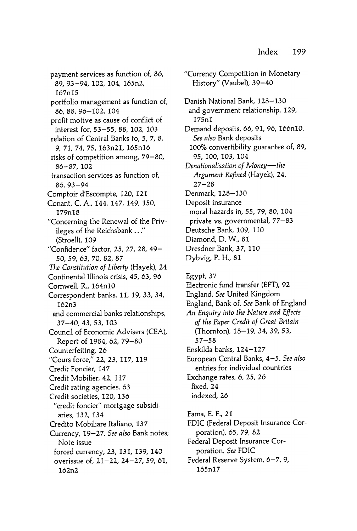payment services as function of, 86, 89, 93-94, 102, 104, 165n2, 167n15 portfolio management as function of, 86, 88, 96-102, 104 profit motive as cause of conflict of interest for, 53-55, 88, 102, 103 relation of Central Banks to, 5, 7, 8, 9. 71. 74. 75. 163n21. 165n16 risks of competition among, 79-80, 86 - 87, 102 transaction services as function of. 86, 93-94 Comptoir d'Escompte, 120, 121 Conant, C. A., 144, 147, 149, 150, 179n18 " Concerning the Renewal of the Privileges of the Reichsbank . . ." (Stroell), 109 "Confidence" factor, 25, 27, 28, 49-50, 59, 63, 70, 82, 87 The Constitution of Liberty (Hayek), 24 Continental Illinois crisis, 45, 63, 96 Cornwell, R., 164n10 Correspondent banks, 11, 19, 33, 34, 162n3 and commercial banks relationships, 37 - 40 , 43 , 53 , 103 Council of Economic Advisers (CEA), Report of 1984, 62, 79- 80 Counterfeiting, 26 "Cours force," 22, 23, 117, 119 Credit Foncier, 147 Credit Mobilier, 42, 117 Credit rating agencies, 63 Credit societies, 120, 136 "credit foncier" mortgage subsidiaries, 132, 134 Credito Mobiliare Italiano, 137 Currency, 19-27. See also Bank notes; Note issue forced currency, 23, 131, 139, 140 overissue of, 21-22, 24-27, 59, 61, 162n2

"Currency Competition in Monetary History" (Vaubel), 39-40 Danish National Bank, 128-130 and government relationship, 129, 175nl Demand deposits, 66, 91, 96, 166n10. See also Bank deposits 100% convertibility guarantee of, 89, 95 , 100 , 103 , 104 Denationalisation of Money-the Argument Refined (Hayek), 24,  $27 - 28$ Denmark, 128-130 Deposit insurance moral hazards in, 55, 79, 80, 104 private vs. governmental, 77- 83 Deutsche Bank, 109, 110 Diamond, D. W., 81 Dresdner Bank, 37, 110 Dybvig, P. H., 81 Egypt, 37 Electronic fund transfer (EFT), 92 England. See United Kingdom England, Bank of. See Bank of England An Enquiry into the Nature and Effects of the Paper Credit of Great Britain (Thornton), 18-19, 34, 39, 53,  $57 - 58$ Enskilda banks, 124–127 European Central Banks, 4-5. See also entries for individual countries Exchange rates, 6, 25, 26 fixed, 24 indexed, 26 Fama, E. F., 21 FDIC (Federal Deposit Insurance Corporation), 65, 79, 82 Federal Deposit Insurance Corporation. See FDIC

Federal Reserve System, 6-7, 9, 165n17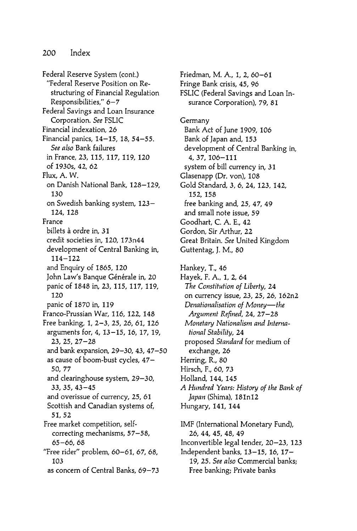Federal Reserve System (cont .) "Federal Reserve Position on Restructuring of Financial Regulation Responsibilities," 6-7 Federal Savings and Loan Insurance Corporation. See FSLIC Financial indexation, 26 Financial panics, 14-15, 18, 54-55. See also Bank failures in France, 23, 115, 117, 119, 120 of 1930s, 42, 62 Flux, A. W. on Danish National Bank, 128-129, 130 on Swedish banking system, 123- 124 , 128 France billets à ordre in, 31 credit societies in, 120, 173n44 development of Central Banking in, 114 - 122 and Enquiry of 1865, 120 John Law's Banque Générale in, 20 panic of 1848 in, 23, 115, 117, 119, 120 panic of 1870 in, 119 Franco-Prussian War, 116, 122, 148 Free banking, 1, 2- 3, 25, 26, 61, 126 arguments for, 4, 13-15, 16, 17, 19,  $23, 25, 27 - 28$ and bank expansion, 29–30, 43, 47–50 as cause of boom-bust cycles, 47- 50, 77 and clearing house system, 29–30, 33 , 35 , 43 - 45 and overissue of currency, 25, 61 Scottish and Canadian systems of, 51, 52 Free market competition, selfcorrecting mechanisms, 57-58, 65-66, 68 "Free rider" problem, 60–61, 67, 68, 103 as concern of Central Banks, 69-73

Friedman, M. A., 1, 2, 60-61 Fringe Bank crisis, 45, 96 FSLIC (Federal Savings and Loan Insurance Corporation), 79, 81 Germany Bank Act of June 1909, 106 Bank of Japan and, 153 development of Central Banking in, 4 , 37 , 106 - 111 system of bill currency in, 31 Glasenapp (Dr. von), 108 Gold Standard, 3, 6, 24, 123, 142, 152, 158 free banking and, 25, 47, 49 and small note issue, 59 Goodhart, C. A. E., 42 Gordon, Sir Arthur, 22 Great Britain. See United Kingdom Guttentag, J. M., 80 Hankey, T., 46 Hayek, F. A., 1, 2, 64 The Constitution of Liberty, 24 on currency issue, 23, 25, 26, 162n2 Denationalisation of Money-the Argument Refined, 24, 27–28 Monetary Nationalism and International Stability, 24 proposed Standard for medium of exchange, 26 Herring, R., 80 Hirsch, F., 60, 73 Holland, 144, 145 A Hundred Years: History of the Bank of *Japan* (Shima), 181n12 Hungary, 141, 144 IMF (International Monetary Fund), 26, 44, 45, 48, 49

Inconvertible legal tender, 20–23, 123 Independent banks, 13-15, 16, 17-19, 25. See also Commercial banks; Free banking; Private banks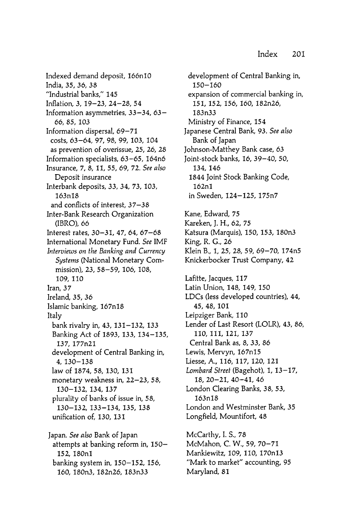Indexed demand deposit, 166nl0 India, 35, 36, 38 "Industrial banks," 145 Inflation, 3, 19-23, 24-28, 54 Information asymmetries,  $33 - 34$ ,  $63 -$ 66, 85, 103 Information dispersal, 69- 71 costs, 63-64, 97, 98, 99, 103, 104 as prevention of overissue, 25, 26, 28 Information specialists, 63-65, 164n6 Insurance, 7, 8, 11, 55, 69, 72. See also Deposit insurance Interbank deposits, 33, 34, 73, 103, 163n18 and conflicts of interest,  $37 - 38$ Inter-Bank Research Organization (IBRO), 66 Interest rates, 30-31, 47, 64, 67-68 International Monetary Fund. See IMF Interviews on the Banking and Currency Systems (National Monetary Commission), 23, 58-59, 106, 108, 109, 110 Iran, 37 Ireland, 35, 36 Islamic banking, 167n18 Italy bank rivalry in, 43, 131–132, 133 Banking Act of 1893, 133, 134- 135, 137 , 177n21 development of Central Banking in, 4, 130–138 law of 1874, 58, 130, 131 monetary weakness in, 22–23, 58, 130 - 132, 134, 137 plurality of banks of issue in, 58, 130 - 132 , 133 - 134 , 135 , 138 unification of, 130, 131 Japan. See also Bank of Japan attempts at banking reform in, 150- 152, 180n1

banking system in, 150- 152, 156, 160, 180n3, 182n26, 183n33

development of Central Banking in, 150- 160 expansion of commercial banking in, 151, 152, 156, 160, 182n26, 183n33 Ministry of Finance, 154 Japanese Central Bank, 93. See also Bank of Japan Johnson-Matthey Bank case, 63 Joint-stock banks, 16, 39- 40, 50, 134, 146 1844 Joint Stock Banking Code, 162nl in Sweden, 124- 125, 175n7 McCarthy, I. S., 78 McMahon, C. W., 59, 70- 71 Mankiewitz, 109, 110, 170n13 Kane, Edward, 75 Kareken, J. H., 62, 75 Katsura (Marquis), 150, 153, 180n3 King, R. G., 26 Klein B., 1, 25, 28, 59, 69–70, 174n5 Knickerbocker Trust Company, 42 Lafitte, Jacques, 117 Latin Union, 148, 149, 150 LDCs (less developed countries), 44, 45 , 48 , 101 Leipziger Bank, 110 Lender of Last Resort (LOLR), 43, 86, 110, 111, 121, 137 Central Bank as, 8, 33, 86 Lewis, Mervyn, 167n15 Liesse, A., 116, 117, 120, 121 Lombard Street (Bagehot),  $1, 13-17$ , 18, 20 - 21, 40 - 41, 46 London Clearing Banks, 38, 53, 163n18 London and Westminster Bank, 35 Longfield, Mountifort, 48

"Mark to market" accounting, 95 Maryland, 81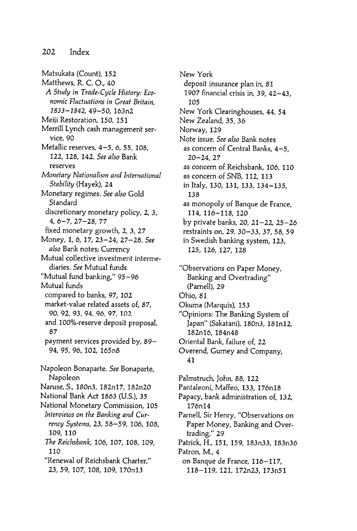Matsukata (Count), 152 Matthews, R. C. O., 40 A Study in Trade-Cycle History: Economic Fluctuations in Great Britain. 1833-1842, 49-50, 163n2 Meiji Restoration, 150, 151 Merrill Lynch cash management service, 90 Metallic reserves, 4-5, 6, 55, 108, 122, 128, 142. See also Bank reserves Monetary Nationalism and International Stability (Hayek), 24 Monetary regimes. See also Gold Standard discretionary monetary policy, 2, 3,  $4, 6 - 7, 27 - 28, 77$ fixed monetary growth, 2, 3, 27 Money, 1, 6, 17, 23-24, 27-28. See also Bank notes; Currency Mutual collective investment intermediaries. See Mutual funds "Mutual fund banking," 95- 96 Mutual funds compared to banks, 97, 102 market-value related assets of, 87, 90, 92, 93, 94, 96, 97, 102 and IOO%-reserve deposit proposal, 87 payment services provided by, 89- 94, 95, 96, 102, 165n8 Napoleon Bonaparte. See Bonaparte, Napoleon Naruse, S., 180n3, 182n17, 182n20 National Bank Act 1863 (U.S.), 35 National Monetary Commission, 105 Interviews on the Banking and Currency Systems, 23, 58-59, 106, 108, 109, 110 The Reichsbank, 106, 107, 108, 109, 110 " Renewal of Reichsbank Charter ,"

23, 59, 107, 108, 109, 170n13

New York deposit insurance plan in, 81 1907 financial crisis in, 39, 42-43. 105 New York Clearinghouses, 44, 54 New Zealand, 35, 36 Norway, 129 Note issue. See also Bank notes as concern of Central Banks,  $4-5$ ,  $20 - 24, 27$ as concern of Reichsbank, 106, 110 as concern of SNB, 112, 113 in Italy, 130, 131, 133, 134- 135, 138 as monopoly of Banque de France, 114, 116-118, 120 by private banks, 20, 21–22, 25–26 restraints on, 29, 30-33, 37, 58, 59 in Swedish banking system, 123, 125, 126, 127, 128

"Observations on Paper Money, Banking and Overtrading" (Parnell), 29 Ohio, 81 Okuma (Marquis), 153 "Opinions: The Banking System of Japan" (Sakatani), 180n3, 181n12, 182n16, 184n48 Oriental Bank, failure of, 22 Overend, Gurney and Company, 41 Palmstruch, John, 88, 122 Pantaleoni, Maffeo, 133, 176n18 Papacy, bank administration of, 132, 176n14 Parnell, Sir Henry, "Observations on Paper Money, Banking and Overtrading," 29 Patrick, H., 151, 159, 183n33, 183n36 Patron, M., 4 on Banque de France, 116- 117,

118-119, 121, 172n23, 173n51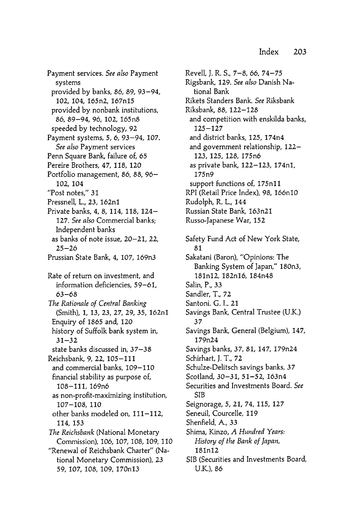Payment services. See also Payment systems provided by banks, 86, 89, 93-94, 102, 104, 165n2, 167n15 provided by nonbank institutions, 86, 89-94, 96, 102, 165n8 speeded by technology, 92 Payment systems, 5, 6, 93-94, 107. See also Payment services Penn Square Bank, failure of, 65 Pereire Brothers, 47, 118, 120 Portfolio management, 86, 88, 96-102, 104 "Post notes," 31 Pressnell, L., 23, 162n1 Private banks, 4, 8, 114, 118, 124– 127. See also Commercial banks; Independent banks as banks of note issue, 20–21, 22,  $25 - 26$ Prussian State Bank, 4, 107, 169n3 Rate of return on investment, and information deficiencies, 59-61,  $63 - 68$ The Rationale of Central Banking (Smith), 1, 13, 23, 27, 29, 35, 162n1 Enquiry of 1865 and, 120 history of Suffolk bank system in,  $31 - 32$ state banks discussed in, 37-38 Reichsbank, 9, 22, 105-111 and commercial banks, 109–110 financial stability as purpose of, 108-111, 169n6 as non-profit-maximizing institution, 107-108, 110 other banks modeled on, 111-112, 114, 153 The Reichsbank (National Monetary Commission), 106, 107, 108, 109, 110 "Renewal of Reichsbank Charter" (National Monetary Commission), 23 59, 107, 108, 109, 170n13

Revell, J. R. S., 7-8, 66, 74-75 Rigsbank, 129. See also Danish National Bank Rikets Standers Bank . See Riksbank Riksbank, 88, 122-128 and competition with enskilda banks,  $125 - 127$ and district banks, 125, 174n4 and government relationship, 122- 123, 125, 128, 175n6 as private bank, 122-123, 174n1, 175n9 support functions of, 175n11 RPI (Retail Price Index), 98, 166n10 Rudolph, R. L., 144 Russian State Bank , 163n21 Russo-Japanese War, 152 Safety Fund Act of New York State, 81 Sakatani (Baron), "Opinions: The Banking System of Japan," 180n3, 181n12, 182n16, 184n48 Salin, P., 33 Sandler, T., 72 Santoni. G. I.. 21 Savings Bank, Central Trustee (U.K.) : گ Savings Bank, General (Belgium), 147, 179n24 Savings banks, 37, 81, 147, 179n24 Schirhart, J. T., 72 Schulze-Delitsch savings banks, 37 Scotland, 30-31, 51-52, 163n4 Securities and Investments Board. See SIB Seignorage, 5, 21, 74, 115, 127 Seneuil, Courcelle, 119 Shenfield, A., 33 Shima, Kinzo, A Hundred Years: History of the Bank of Japan, 181n12 SIB (Securities and Investments Board, U.K.), 86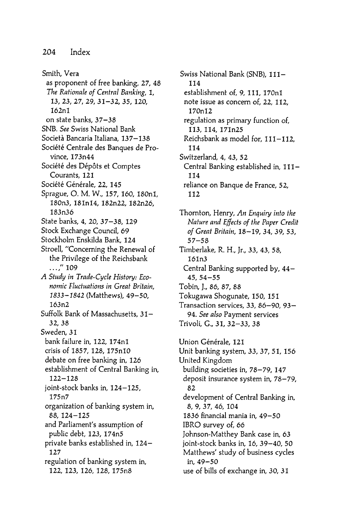Smith, Vera as proponent of free banking, 27, 48 The Rationale of Central Banking, 1, 13, 23, 27, 29, 31-32, 35, 120, 162nl on state banks, 37-38 SNB. See Swiss National Bank Società Bancaria Italiana, 137-138 Société Centrale des Banques de Province, 173n44 Société des Dépôts et Comptes Courants, 121 Société Générale, 22, 145 Sprague, O. M. W., 157, 160, 180n1, 180n3, 181n14, 182n22, 182n26, 183n36 State banks, 4, 20, 37-38, 129 Stock Exchange Council, 69 Stockholm Enskilda Bank, 124 Stroell, "Concerning the Renewal of the Privilege of the Reichsbank  $\ldots$ ," 109 A Study in Trade-Cycle History: Economic Fluctuations in Great Britain, 1833-1842 (Matthews), 49-50, 163n2 Suffolk Bank of Massachusetts, 31-32 , 38 Sweden, 31 bank failure in, 122, 174n1 crisis of 1857, 128, 175n10 debate on free banking in, 126 establishment of Central Banking in, 122 - 128 joint-stock banks in, 124-125, 175n7 organization of banking system in, 88, 124-125 and Parliament's assumption of public debt, 123, 174n5 private banks established in, 124-127 regulation of banking system in, 122, 123, 126, 128, 175n8

Swiss National Bank (SNB), 111-114 establishment of, 9, 111, 170n1 note issue as concern of, 22, 112, 170n12 regulation as primary function of, 113, 114, 171n25 Reichsbank as model for,  $111 - 112$ , 114 Switzerland, 4, 43, 52 Central Banking established in, 111-114 reliance on Banque de France, 52, 112

Thornton, Henry, An Enquiry into the<br>Nature and Effects of the Paper Credit Nature and Effects of the Paper Credit of Great Britain, 18-19, 34, 39, 53,  $57 - 58$ Timberlake, R. H., Jr., 33, 43, 58, 161n3 Central Banking supported by, 44- $45, 54 - 55$ Tobin, J., 86, 87, 88 Tokugawa Shogunate, 150, 151 Transaction services, 33, 86-90, 93-94. See also Payment services Trivoli, G., 31, 32–33, 38

Union Générale, 121 Unit banking system, 33, 37, 51, 156 United Kingdom building societies in, 78-79, 147 deposit insurance system in, 78–79, 82 development of Central Banking in, 8, 9, 37, 46, 104 1836 financial mania in, 49-50 IBRO survey of, 66 Johnson-Matthey Bank case in, 63 joint-stock banks in, 16, 39-40, 50 Matthews' study of business cycles in, 49-50 use of bills of exchange in, 30, 31